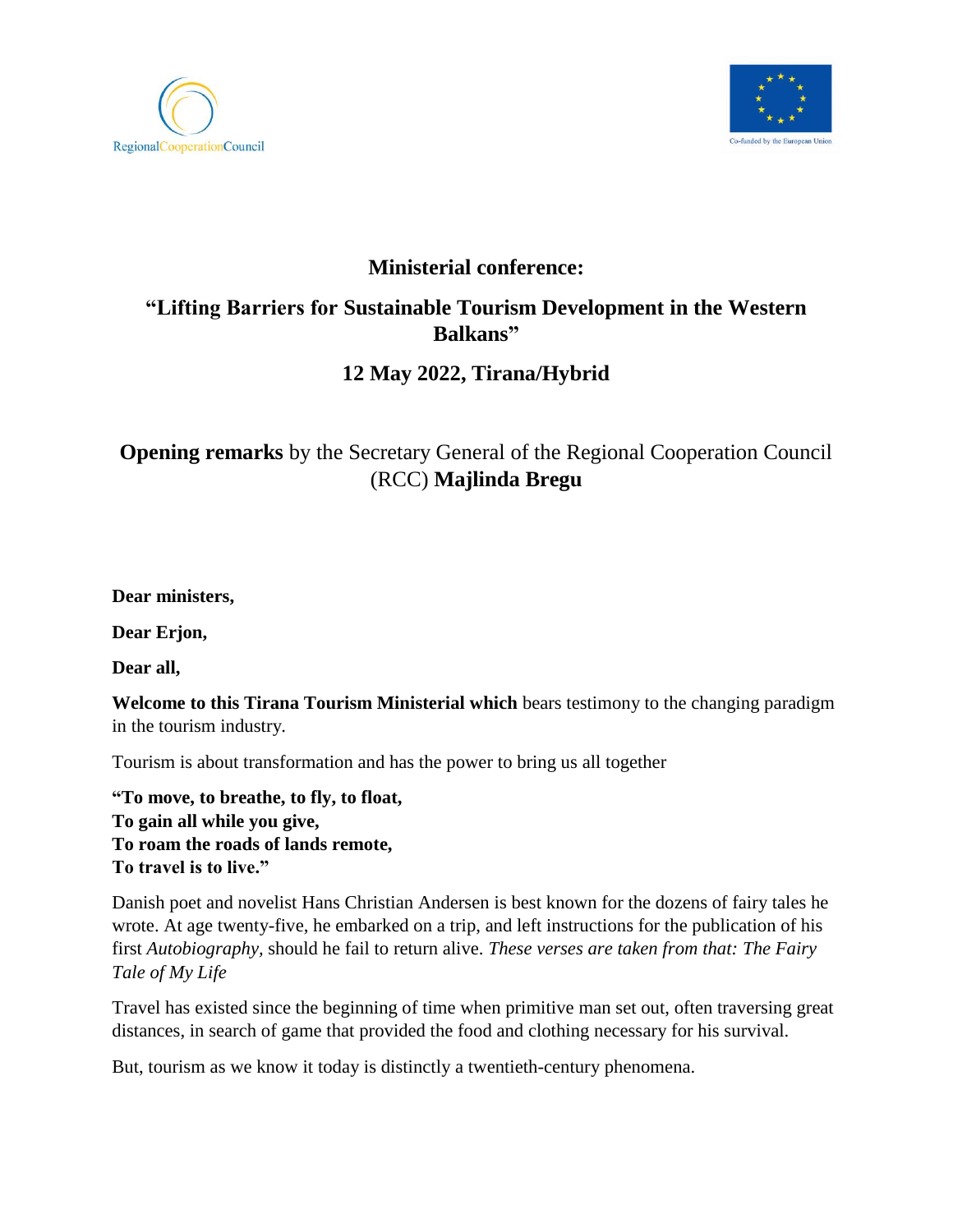



## **Ministerial conference:**

## **"Lifting Barriers for Sustainable Tourism Development in the Western Balkans"**

# **12 May 2022, Tirana/Hybrid**

# **Opening remarks** by the Secretary General of the Regional Cooperation Council (RCC) **Majlinda Bregu**

**Dear ministers,** 

**Dear Erjon,** 

**Dear all,** 

**Welcome to this Tirana Tourism Ministerial which** bears testimony to the changing paradigm in the tourism industry.

Tourism is about transformation and has the power to bring us all together

**"To move, to breathe, to fly, to float, To gain all while you give, To roam the roads of lands remote, To travel is to live."**

Danish poet and novelist Hans Christian Andersen is best known for the dozens of fairy tales he wrote. At age twenty-five, he embarked on a trip, and left instructions for the publication of his first *Autobiography,* should he fail to return alive. *These verses are taken from that: The Fairy Tale of My Life*

Travel has existed since the beginning of time when primitive man set out, often traversing great distances, in search of game that provided the food and clothing necessary for his survival.

But, tourism as we know it today is distinctly a twentieth-century phenomena.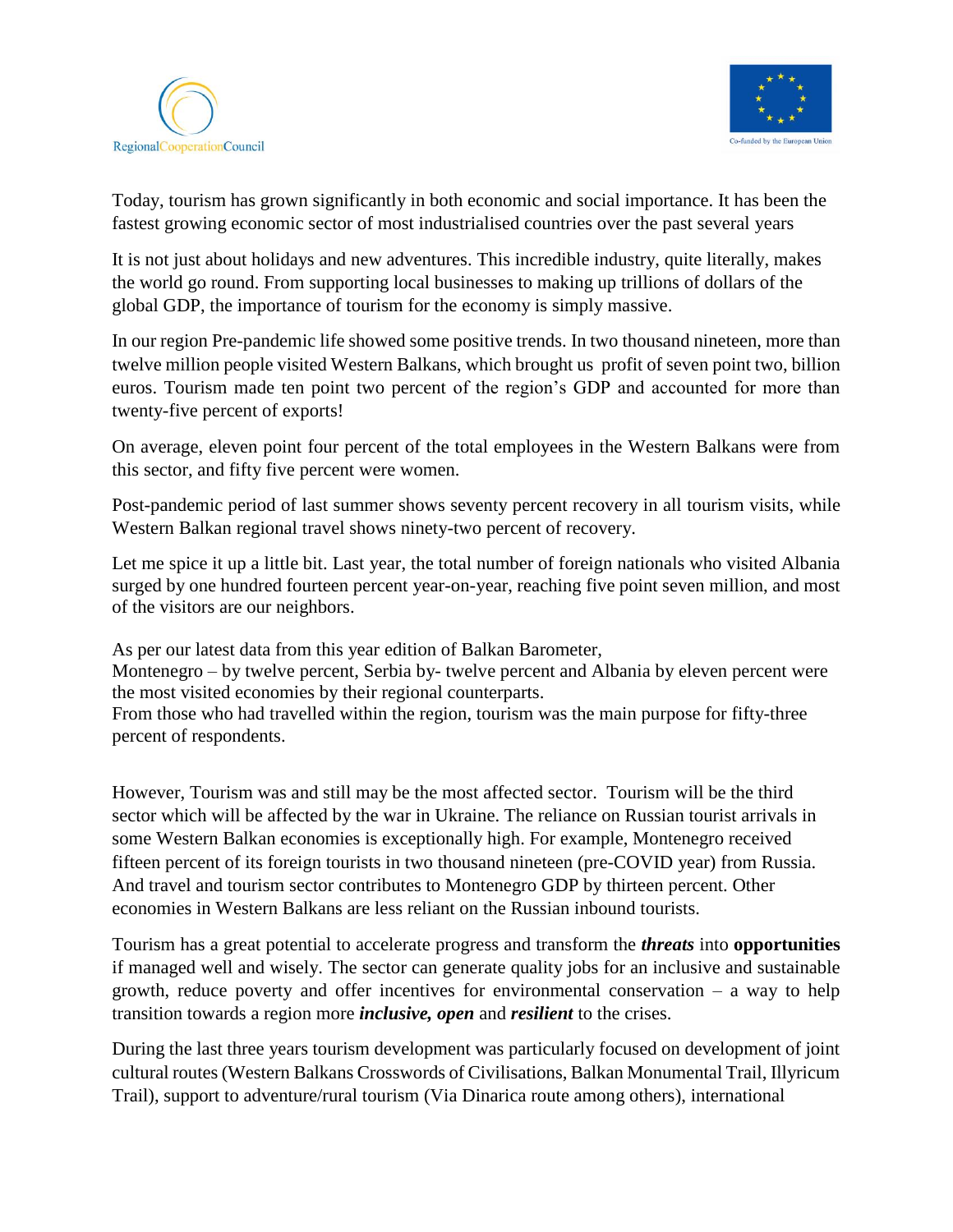



Today, tourism has grown significantly in both economic and social importance. It has been the fastest growing economic sector of most industrialised countries over the past several years

It is not just about holidays and new adventures. This incredible industry, quite literally, makes the world go round. From supporting local businesses to making up trillions of dollars of the global GDP, the importance of tourism for the economy is simply massive.

In our region Pre-pandemic life showed some positive trends. In two thousand nineteen, more than twelve million people visited Western Balkans, which brought us profit of seven point two, billion euros. Tourism made ten point two percent of the region's GDP and accounted for more than twenty-five percent of exports!

On average, eleven point four percent of the total employees in the Western Balkans were from this sector, and fifty five percent were women.

Post-pandemic period of last summer shows seventy percent recovery in all tourism visits, while Western Balkan regional travel shows ninety-two percent of recovery.

Let me spice it up a little bit. Last year, the total number of foreign nationals who visited Albania surged by one hundred fourteen percent year-on-year, reaching five point seven million, and most of the visitors are our neighbors.

As per our latest data from this year edition of Balkan Barometer,

Montenegro – by twelve percent, Serbia by- twelve percent and Albania by eleven percent were the most visited economies by their regional counterparts.

From those who had travelled within the region, tourism was the main purpose for fifty-three percent of respondents.

However, Tourism was and still may be the most affected sector. Tourism will be the third sector which will be affected by the war in Ukraine. The reliance on Russian tourist arrivals in some Western Balkan economies is exceptionally high. For example, Montenegro received fifteen percent of its foreign tourists in two thousand nineteen (pre-COVID year) from Russia. And travel and tourism sector contributes to Montenegro GDP by thirteen percent. Other economies in Western Balkans are less reliant on the Russian inbound tourists.

Tourism has a great potential to accelerate progress and transform the *threats* into **opportunities**  if managed well and wisely. The sector can generate quality jobs for an inclusive and sustainable growth, reduce poverty and offer incentives for environmental conservation – a way to help transition towards a region more *inclusive, open* and *resilient* to the crises.

During the last three years tourism development was particularly focused on development of joint cultural routes(Western Balkans Crosswords of Civilisations, Balkan Monumental Trail, Illyricum Trail), support to adventure/rural tourism (Via Dinarica route among others), international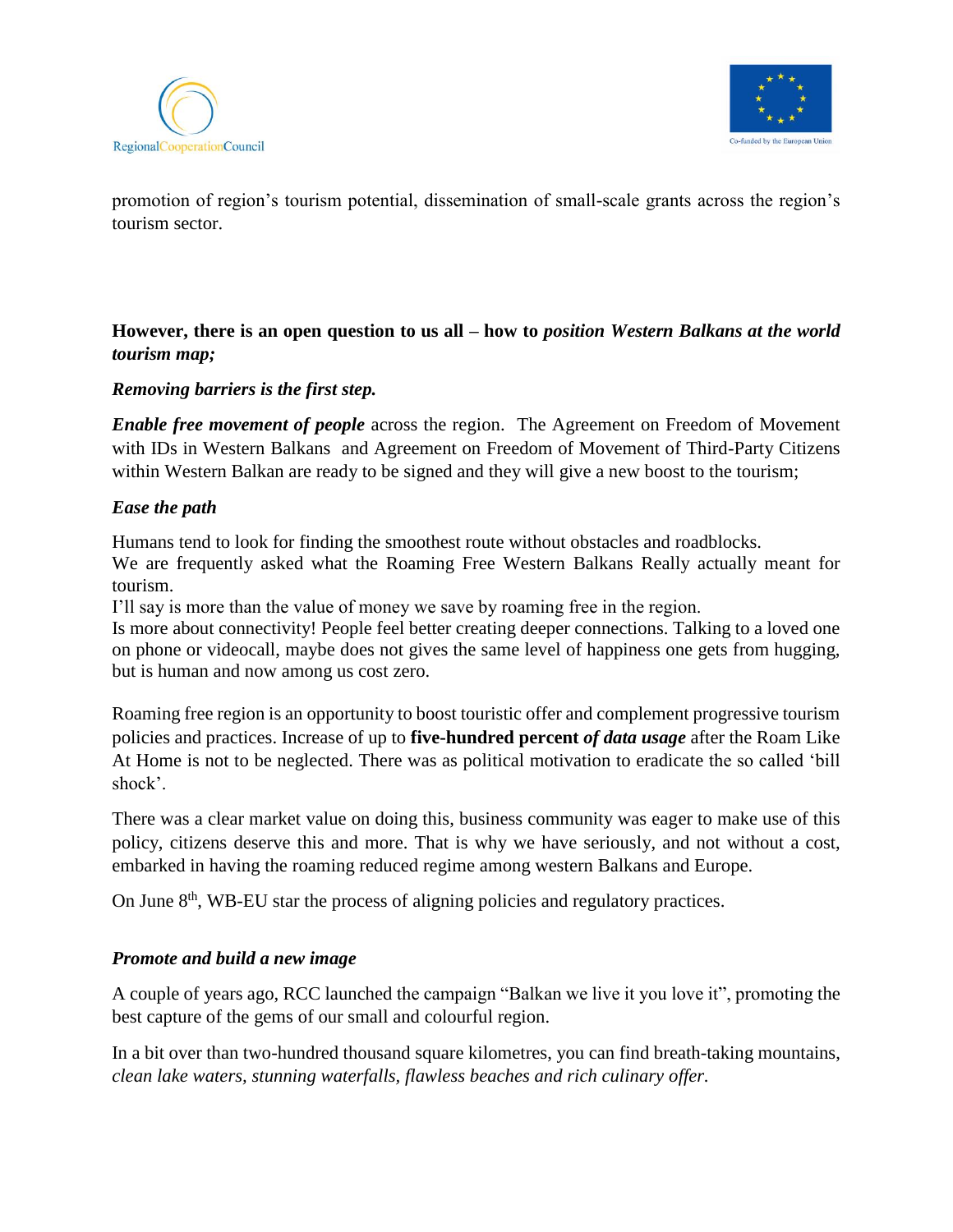



promotion of region's tourism potential, dissemination of small-scale grants across the region's tourism sector.

## **However, there is an open question to us all – how to** *position Western Balkans at the world tourism map;*

#### *Removing barriers is the first step.*

*Enable free movement of people* across the region. The Agreement on Freedom of Movement with IDs in Western Balkans and Agreement on Freedom of Movement of Third-Party Citizens within Western Balkan are ready to be signed and they will give a new boost to the tourism;

#### *Ease the path*

Humans tend to look for finding the smoothest route without obstacles and roadblocks.

We are frequently asked what the Roaming Free Western Balkans Really actually meant for tourism.

I'll say is more than the value of money we save by roaming free in the region.

Is more about connectivity! People feel better creating deeper connections. Talking to a loved one on phone or videocall, maybe does not gives the same level of happiness one gets from hugging, but is human and now among us cost zero.

Roaming free region is an opportunity to boost touristic offer and complement progressive tourism policies and practices. Increase of up to **five-hundred percent** *of data usage* after the Roam Like At Home is not to be neglected. There was as political motivation to eradicate the so called 'bill shock'.

There was a clear market value on doing this, business community was eager to make use of this policy, citizens deserve this and more. That is why we have seriously, and not without a cost, embarked in having the roaming reduced regime among western Balkans and Europe.

On June  $8<sup>th</sup>$ , WB-EU star the process of aligning policies and regulatory practices.

### *Promote and build a new image*

A couple of years ago, RCC launched the campaign "Balkan we live it you love it", promoting the best capture of the gems of our small and colourful region.

In a bit over than two-hundred thousand square kilometres, you can find breath-taking mountains, *clean lake waters, stunning waterfalls, flawless beaches and rich culinary offer.*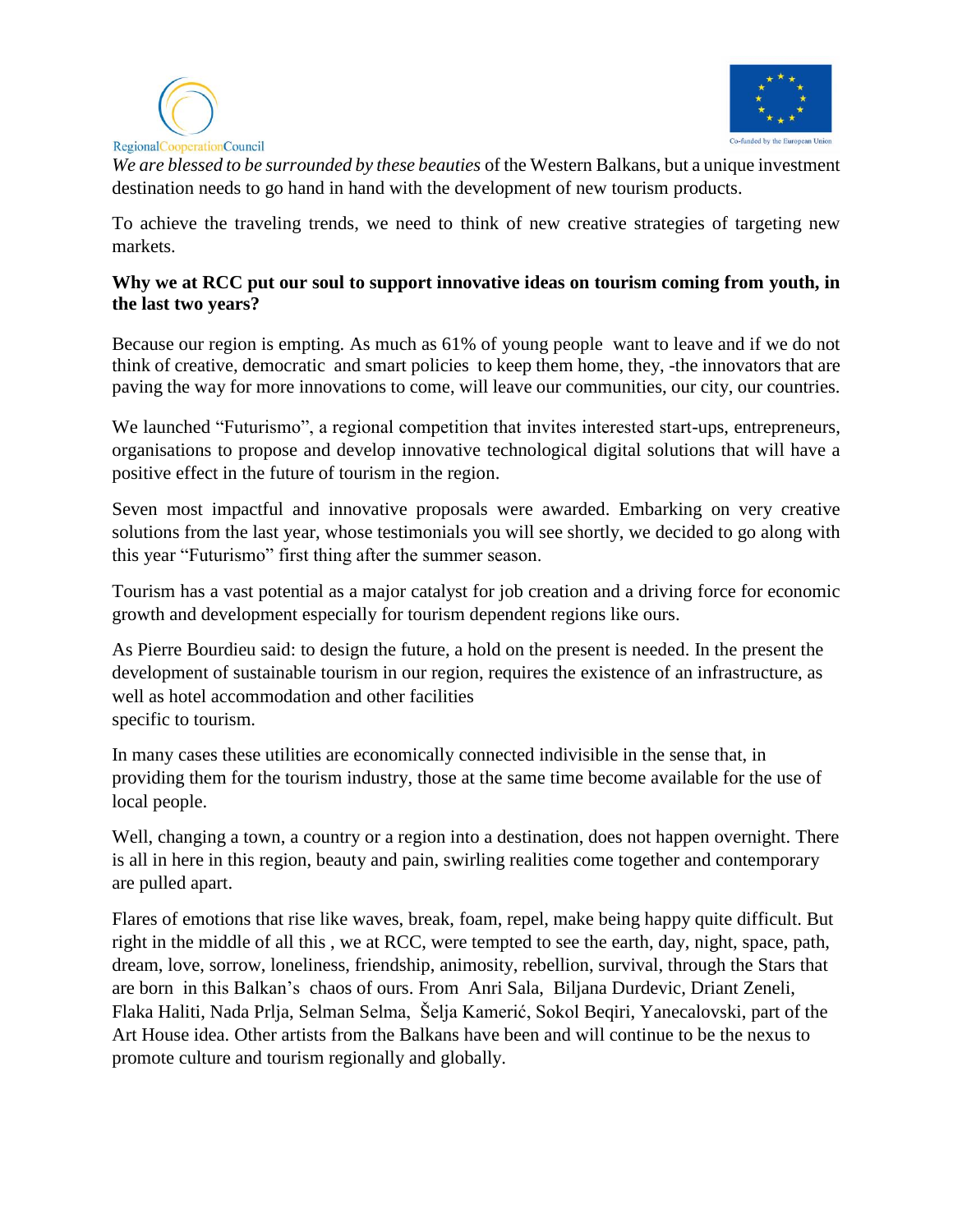



*We are blessed to be surrounded by these beauties* of the Western Balkans, but a unique investment destination needs to go hand in hand with the development of new tourism products.

To achieve the traveling trends, we need to think of new creative strategies of targeting new markets.

### **Why we at RCC put our soul to support innovative ideas on tourism coming from youth, in the last two years?**

Because our region is empting. As much as 61% of young people want to leave and if we do not think of creative, democratic and smart policies to keep them home, they, -the innovators that are paving the way for more innovations to come, will leave our communities, our city, our countries.

We launched "Futurismo", a regional competition that invites interested start-ups, entrepreneurs, organisations to propose and develop innovative technological digital solutions that will have a positive effect in the future of tourism in the region.

Seven most impactful and innovative proposals were awarded. Embarking on very creative solutions from the last year, whose testimonials you will see shortly, we decided to go along with this year "Futurismo" first thing after the summer season.

Tourism has a vast potential as a major catalyst for job creation and a driving force for economic growth and development especially for tourism dependent regions like ours.

As Pierre Bourdieu said: to design the future, a hold on the present is needed. In the present the development of sustainable tourism in our region, requires the existence of an infrastructure, as well as hotel accommodation and other facilities specific to tourism.

In many cases these utilities are economically connected indivisible in the sense that, in providing them for the tourism industry, those at the same time become available for the use of local people.

Well, changing a town, a country or a region into a destination, does not happen overnight. There is all in here in this region, beauty and pain, swirling realities come together and contemporary are pulled apart.

Flares of emotions that rise like waves, break, foam, repel, make being happy quite difficult. But right in the middle of all this , we at RCC, were tempted to see the earth, day, night, space, path, dream, love, sorrow, loneliness, friendship, animosity, rebellion, survival, through the Stars that are born in this Balkan's chaos of ours. From Anri Sala, Biljana Durdevic, Driant Zeneli, Flaka Haliti, Nada Prlja, Selman Selma, Šelja Kamerić, Sokol Beqiri, Yanecalovski, part of the Art House idea. Other artists from the Balkans have been and will continue to be the nexus to promote culture and tourism regionally and globally.